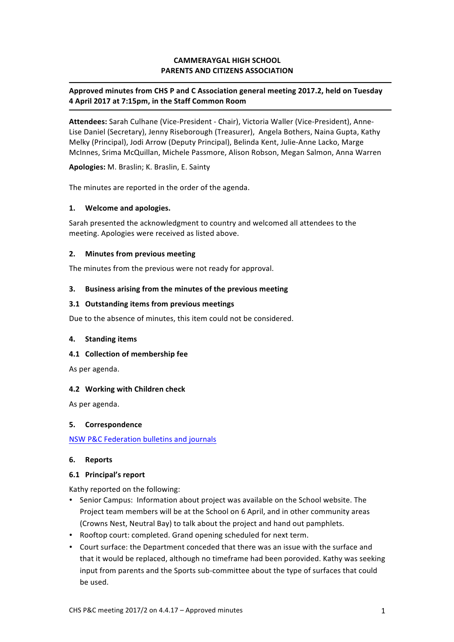## **CAMMERAYGAL HIGH SCHOOL PARENTS AND CITIZENS ASSOCIATION**

## Approved minutes from CHS P and C Association general meeting 2017.2, held on Tuesday **4 April 2017 at 7:15pm, in the Staff Common Room**

Attendees: Sarah Culhane (Vice-President - Chair), Victoria Waller (Vice-President), Anne-Lise Daniel (Secretary), Jenny Riseborough (Treasurer), Angela Bothers, Naina Gupta, Kathy Melky (Principal), Jodi Arrow (Deputy Principal), Belinda Kent, Julie-Anne Lacko, Marge McInnes, Srima McQuillan, Michele Passmore, Alison Robson, Megan Salmon, Anna Warren

**Apologies:** M. Braslin; K. Braslin, E. Sainty

The minutes are reported in the order of the agenda.

## **1. Welcome and apologies.**

Sarah presented the acknowledgment to country and welcomed all attendees to the meeting. Apologies were received as listed above.

#### **2.** Minutes from previous meeting

The minutes from the previous were not ready for approval.

## **3.** Business arising from the minutes of the previous meeting

#### **3.1 Outstanding items from previous meetings**

Due to the absence of minutes, this item could not be considered.

#### **4. Standing items**

#### **4.1 Collection of membership fee**

As per agenda.

## **4.2 Working with Children check**

As per agenda.

## **5. Correspondence**

NSW P&C Federation bulletins and journals

#### **6. Reports**

## **6.1 Principal's report**

Kathy reported on the following:

- Senior Campus: Information about project was available on the School website. The Project team members will be at the School on 6 April, and in other community areas (Crowns Nest, Neutral Bay) to talk about the project and hand out pamphlets.
- Rooftop court: completed. Grand opening scheduled for next term.
- Court surface: the Department conceded that there was an issue with the surface and that it would be replaced, although no timeframe had been porovided. Kathy was seeking input from parents and the Sports sub-committee about the type of surfaces that could be used.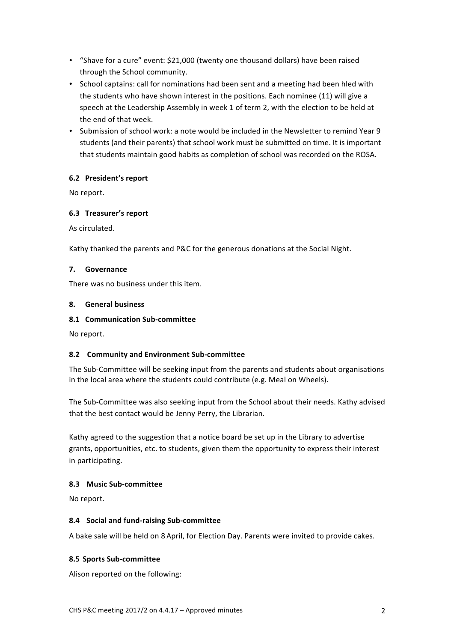- "Shave for a cure" event: \$21,000 (twenty one thousand dollars) have been raised through the School community.
- School captains: call for nominations had been sent and a meeting had been hled with the students who have shown interest in the positions. Each nominee (11) will give a speech at the Leadership Assembly in week 1 of term 2, with the election to be held at the end of that week.
- Submission of school work: a note would be included in the Newsletter to remind Year 9 students (and their parents) that school work must be submitted on time. It is important that students maintain good habits as completion of school was recorded on the ROSA.

## **6.2 President's report**

No report.

## **6.3 Treasurer's report**

As circulated.

Kathy thanked the parents and P&C for the generous donations at the Social Night.

## **7. Governance**

There was no business under this item.

## **8. General business**

## **8.1 Communication Sub-committee**

No report.

# **8.2 Community and Environment Sub-committee**

The Sub-Committee will be seeking input from the parents and students about organisations in the local area where the students could contribute (e.g. Meal on Wheels).

The Sub-Committee was also seeking input from the School about their needs. Kathy advised that the best contact would be Jenny Perry, the Librarian.

Kathy agreed to the suggestion that a notice board be set up in the Library to advertise grants, opportunities, etc. to students, given them the opportunity to express their interest in participating.

## **8.3 Music Sub-committee**

No report.

## **8.4 Social and fund-raising Sub-committee**

A bake sale will be held on 8 April, for Election Day. Parents were invited to provide cakes.

# **8.5 Sports Sub-committee**

Alison reported on the following: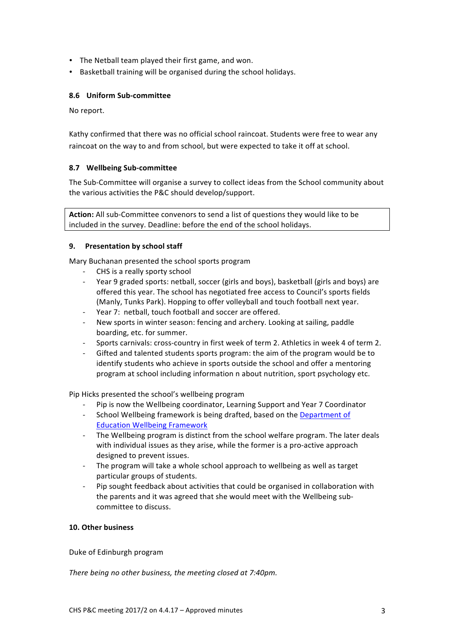- The Netball team played their first game, and won.
- Basketball training will be organised during the school holidays.

## **8.6 Uniform Sub-committee**

No report.

Kathy confirmed that there was no official school raincoat. Students were free to wear any raincoat on the way to and from school, but were expected to take it off at school.

## **8.7 Wellbeing Sub-committee**

The Sub-Committee will organise a survey to collect ideas from the School community about the various activities the P&C should develop/support.

**Action:** All sub-Committee convenors to send a list of questions they would like to be included in the survey. Deadline: before the end of the school holidays.

## **9.** Presentation by school staff

Mary Buchanan presented the school sports program

- CHS is a really sporty school
- Year 9 graded sports: netball, soccer (girls and boys), basketball (girls and boys) are offered this year. The school has negotiated free access to Council's sports fields (Manly, Tunks Park). Hopping to offer volleyball and touch football next year.
- Year 7: netball, touch football and soccer are offered.
- New sports in winter season: fencing and archery. Looking at sailing, paddle boarding, etc. for summer.
- Sports carnivals: cross-country in first week of term 2. Athletics in week 4 of term 2.
- Gifted and talented students sports program: the aim of the program would be to identify students who achieve in sports outside the school and offer a mentoring program at school including information n about nutrition, sport psychology etc.

Pip Hicks presented the school's wellbeing program

- Pip is now the Wellbeing coordinator, Learning Support and Year 7 Coordinator
- School Wellbeing framework is being drafted, based on the Department of **Education Wellbeing Framework**
- The Wellbeing program is distinct from the school welfare program. The later deals with individual issues as they arise, while the former is a pro-active approach designed to prevent issues.
- The program will take a whole school approach to wellbeing as well as target particular groups of students.
- Pip sought feedback about activities that could be organised in collaboration with the parents and it was agreed that she would meet with the Wellbeing subcommittee to discuss.

## **10. Other business**

Duke of Edinburgh program

*There being no other business, the meeting closed at 7:40pm.*